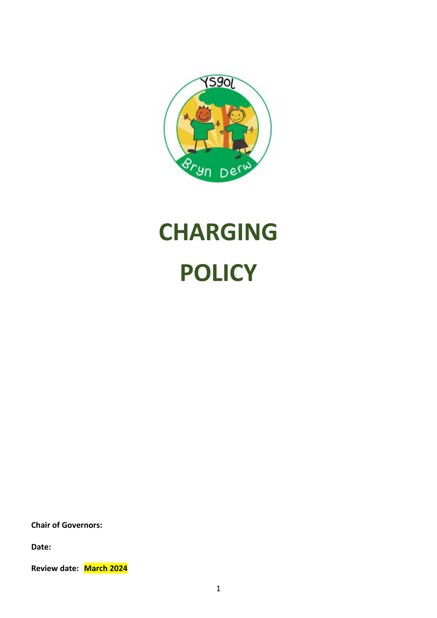

# **CHARGING POLICY**

**Chair of Governors:**

**Date:**

**Review date: March 2024**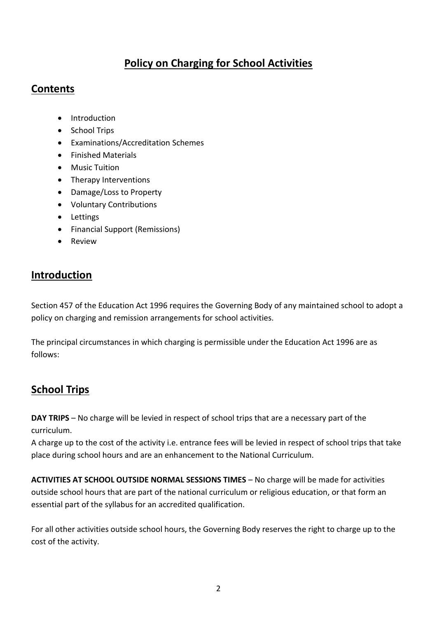# **Policy on Charging for School Activities**

#### **Contents**

- Introduction
- School Trips
- Examinations/Accreditation Schemes
- Finished Materials
- Music Tuition
- Therapy Interventions
- Damage/Loss to Property
- Voluntary Contributions
- Lettings
- Financial Support (Remissions)
- Review

#### **Introduction**

Section 457 of the Education Act 1996 requires the Governing Body of any maintained school to adopt a policy on charging and remission arrangements for school activities.

The principal circumstances in which charging is permissible under the Education Act 1996 are as follows:

# **School Trips**

**DAY TRIPS** – No charge will be levied in respect of school trips that are a necessary part of the curriculum.

A charge up to the cost of the activity i.e. entrance fees will be levied in respect of school trips that take place during school hours and are an enhancement to the National Curriculum.

**ACTIVITIES AT SCHOOL OUTSIDE NORMAL SESSIONS TIMES** – No charge will be made for activities outside school hours that are part of the national curriculum or religious education, or that form an essential part of the syllabus for an accredited qualification.

For all other activities outside school hours, the Governing Body reserves the right to charge up to the cost of the activity.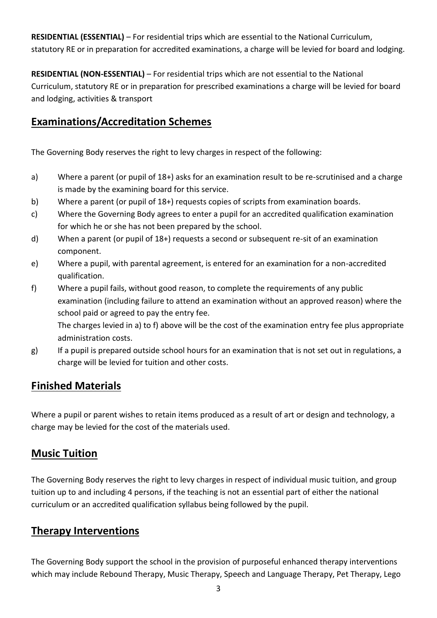**RESIDENTIAL (ESSENTIAL)** – For residential trips which are essential to the National Curriculum, statutory RE or in preparation for accredited examinations, a charge will be levied for board and lodging.

**RESIDENTIAL (NON-ESSENTIAL)** – For residential trips which are not essential to the National Curriculum, statutory RE or in preparation for prescribed examinations a charge will be levied for board and lodging, activities & transport

#### **Examinations/Accreditation Schemes**

The Governing Body reserves the right to levy charges in respect of the following:

- a) Where a parent (or pupil of 18+) asks for an examination result to be re-scrutinised and a charge is made by the examining board for this service.
- b) Where a parent (or pupil of 18+) requests copies of scripts from examination boards.
- c) Where the Governing Body agrees to enter a pupil for an accredited qualification examination for which he or she has not been prepared by the school.
- d) When a parent (or pupil of 18+) requests a second or subsequent re-sit of an examination component.
- e) Where a pupil, with parental agreement, is entered for an examination for a non-accredited qualification.
- f) Where a pupil fails, without good reason, to complete the requirements of any public examination (including failure to attend an examination without an approved reason) where the school paid or agreed to pay the entry fee.

The charges levied in a) to f) above will be the cost of the examination entry fee plus appropriate administration costs.

g) If a pupil is prepared outside school hours for an examination that is not set out in regulations, a charge will be levied for tuition and other costs.

# **Finished Materials**

Where a pupil or parent wishes to retain items produced as a result of art or design and technology, a charge may be levied for the cost of the materials used.

# **Music Tuition**

The Governing Body reserves the right to levy charges in respect of individual music tuition, and group tuition up to and including 4 persons, if the teaching is not an essential part of either the national curriculum or an accredited qualification syllabus being followed by the pupil.

# **Therapy Interventions**

The Governing Body support the school in the provision of purposeful enhanced therapy interventions which may include Rebound Therapy, Music Therapy, Speech and Language Therapy, Pet Therapy, Lego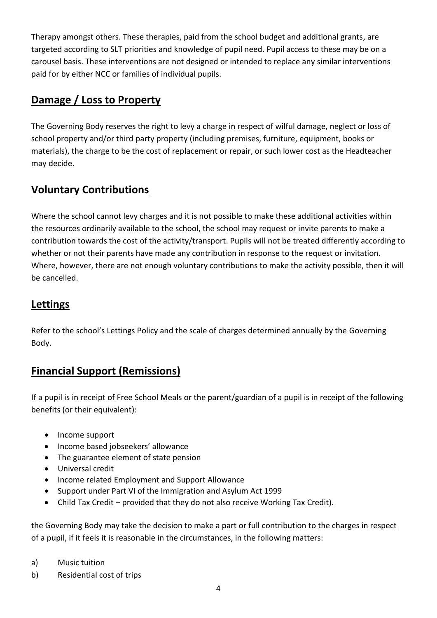Therapy amongst others. These therapies, paid from the school budget and additional grants, are targeted according to SLT priorities and knowledge of pupil need. Pupil access to these may be on a carousel basis. These interventions are not designed or intended to replace any similar interventions paid for by either NCC or families of individual pupils.

#### **Damage / Loss to Property**

The Governing Body reserves the right to levy a charge in respect of wilful damage, neglect or loss of school property and/or third party property (including premises, furniture, equipment, books or materials), the charge to be the cost of replacement or repair, or such lower cost as the Headteacher may decide.

# **Voluntary Contributions**

Where the school cannot levy charges and it is not possible to make these additional activities within the resources ordinarily available to the school, the school may request or invite parents to make a contribution towards the cost of the activity/transport. Pupils will not be treated differently according to whether or not their parents have made any contribution in response to the request or invitation. Where, however, there are not enough voluntary contributions to make the activity possible, then it will be cancelled.

#### **Lettings**

Refer to the school's Lettings Policy and the scale of charges determined annually by the Governing Body.

# **Financial Support (Remissions)**

If a pupil is in receipt of Free School Meals or the parent/guardian of a pupil is in receipt of the following benefits (or their equivalent):

- Income support
- Income based jobseekers' allowance
- The guarantee element of state pension
- Universal credit
- Income related Employment and Support Allowance
- Support under Part VI of the Immigration and Asylum Act 1999
- Child Tax Credit provided that they do not also receive Working Tax Credit).

the Governing Body may take the decision to make a part or full contribution to the charges in respect of a pupil, if it feels it is reasonable in the circumstances, in the following matters:

- a) Music tuition
- b) Residential cost of trips